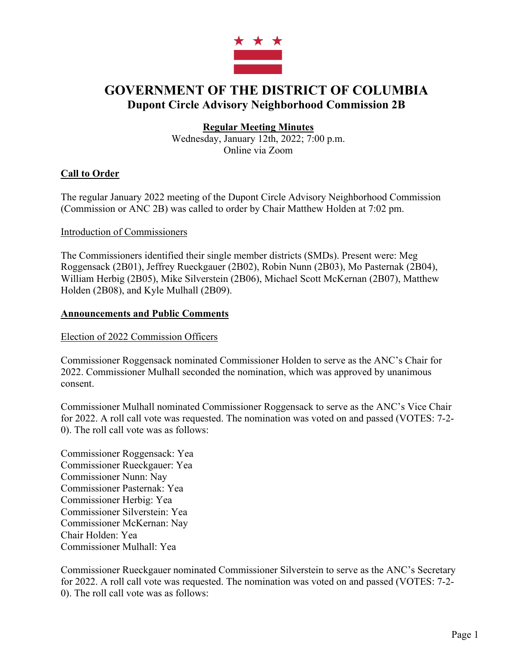

# **GOVERNMENT OF THE DISTRICT OF COLUMBIA Dupont Circle Advisory Neighborhood Commission 2B**

# **Regular Meeting Minutes**

Wednesday, January 12th, 2022; 7:00 p.m. Online via Zoom

# **Call to Order**

The regular January 2022 meeting of the Dupont Circle Advisory Neighborhood Commission (Commission or ANC 2B) was called to order by Chair Matthew Holden at 7:02 pm.

### Introduction of Commissioners

The Commissioners identified their single member districts (SMDs). Present were: Meg Roggensack (2B01), Jeffrey Rueckgauer (2B02), Robin Nunn (2B03), Mo Pasternak (2B04), William Herbig (2B05), Mike Silverstein (2B06), Michael Scott McKernan (2B07), Matthew Holden (2B08), and Kyle Mulhall (2B09).

### **Announcements and Public Comments**

Election of 2022 Commission Officers

Commissioner Roggensack nominated Commissioner Holden to serve as the ANC's Chair for 2022. Commissioner Mulhall seconded the nomination, which was approved by unanimous consent.

Commissioner Mulhall nominated Commissioner Roggensack to serve as the ANC's Vice Chair for 2022. A roll call vote was requested. The nomination was voted on and passed (VOTES: 7-2- 0). The roll call vote was as follows:

Commissioner Roggensack: Yea Commissioner Rueckgauer: Yea Commissioner Nunn: Nay Commissioner Pasternak: Yea Commissioner Herbig: Yea Commissioner Silverstein: Yea Commissioner McKernan: Nay Chair Holden: Yea Commissioner Mulhall: Yea

Commissioner Rueckgauer nominated Commissioner Silverstein to serve as the ANC's Secretary for 2022. A roll call vote was requested. The nomination was voted on and passed (VOTES: 7-2- 0). The roll call vote was as follows: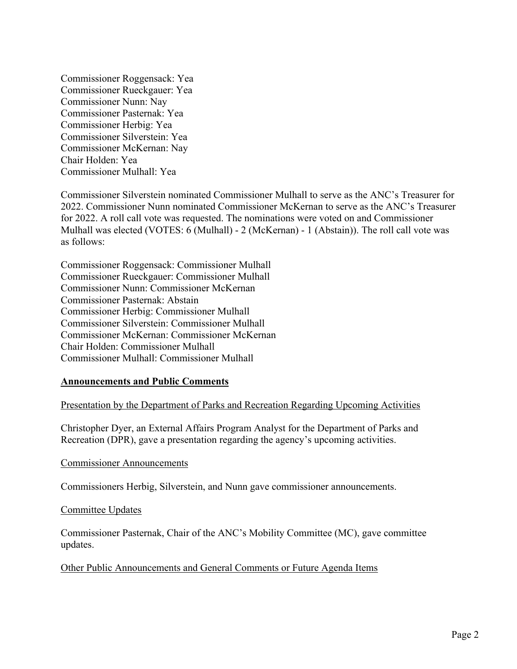Commissioner Roggensack: Yea Commissioner Rueckgauer: Yea Commissioner Nunn: Nay Commissioner Pasternak: Yea Commissioner Herbig: Yea Commissioner Silverstein: Yea Commissioner McKernan: Nay Chair Holden: Yea Commissioner Mulhall: Yea

Commissioner Silverstein nominated Commissioner Mulhall to serve as the ANC's Treasurer for 2022. Commissioner Nunn nominated Commissioner McKernan to serve as the ANC's Treasurer for 2022. A roll call vote was requested. The nominations were voted on and Commissioner Mulhall was elected (VOTES: 6 (Mulhall) - 2 (McKernan) - 1 (Abstain)). The roll call vote was as follows:

Commissioner Roggensack: Commissioner Mulhall Commissioner Rueckgauer: Commissioner Mulhall Commissioner Nunn: Commissioner McKernan Commissioner Pasternak: Abstain Commissioner Herbig: Commissioner Mulhall Commissioner Silverstein: Commissioner Mulhall Commissioner McKernan: Commissioner McKernan Chair Holden: Commissioner Mulhall Commissioner Mulhall: Commissioner Mulhall

#### **Announcements and Public Comments**

Presentation by the Department of Parks and Recreation Regarding Upcoming Activities

Christopher Dyer, an External Affairs Program Analyst for the Department of Parks and Recreation (DPR), gave a presentation regarding the agency's upcoming activities.

Commissioner Announcements

Commissioners Herbig, Silverstein, and Nunn gave commissioner announcements.

#### Committee Updates

Commissioner Pasternak, Chair of the ANC's Mobility Committee (MC), gave committee updates.

Other Public Announcements and General Comments or Future Agenda Items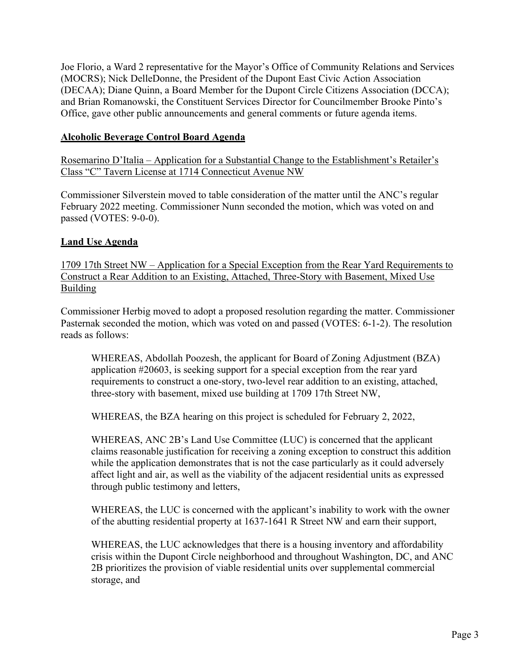Joe Florio, a Ward 2 representative for the Mayor's Office of Community Relations and Services (MOCRS); Nick DelleDonne, the President of the Dupont East Civic Action Association (DECAA); Diane Quinn, a Board Member for the Dupont Circle Citizens Association (DCCA); and Brian Romanowski, the Constituent Services Director for Councilmember Brooke Pinto's Office, gave other public announcements and general comments or future agenda items.

# **Alcoholic Beverage Control Board Agenda**

Rosemarino D'Italia – Application for a Substantial Change to the Establishment's Retailer's Class "C" Tavern License at 1714 Connecticut Avenue NW

Commissioner Silverstein moved to table consideration of the matter until the ANC's regular February 2022 meeting. Commissioner Nunn seconded the motion, which was voted on and passed (VOTES: 9-0-0).

### **Land Use Agenda**

1709 17th Street NW – Application for a Special Exception from the Rear Yard Requirements to Construct a Rear Addition to an Existing, Attached, Three-Story with Basement, Mixed Use **Building** 

Commissioner Herbig moved to adopt a proposed resolution regarding the matter. Commissioner Pasternak seconded the motion, which was voted on and passed (VOTES: 6-1-2). The resolution reads as follows:

WHEREAS, Abdollah Poozesh, the applicant for Board of Zoning Adjustment (BZA) application #20603, is seeking support for a special exception from the rear yard requirements to construct a one-story, two-level rear addition to an existing, attached, three-story with basement, mixed use building at 1709 17th Street NW,

WHEREAS, the BZA hearing on this project is scheduled for February 2, 2022,

WHEREAS, ANC 2B's Land Use Committee (LUC) is concerned that the applicant claims reasonable justification for receiving a zoning exception to construct this addition while the application demonstrates that is not the case particularly as it could adversely affect light and air, as well as the viability of the adjacent residential units as expressed through public testimony and letters,

WHEREAS, the LUC is concerned with the applicant's inability to work with the owner of the abutting residential property at 1637-1641 R Street NW and earn their support,

WHEREAS, the LUC acknowledges that there is a housing inventory and affordability crisis within the Dupont Circle neighborhood and throughout Washington, DC, and ANC 2B prioritizes the provision of viable residential units over supplemental commercial storage, and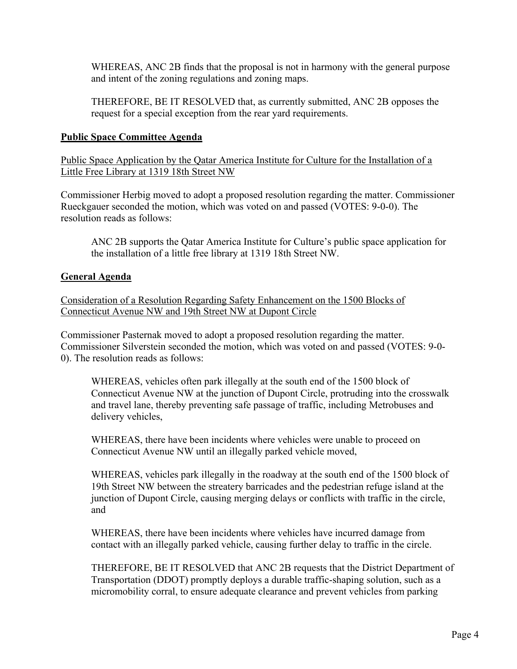WHEREAS, ANC 2B finds that the proposal is not in harmony with the general purpose and intent of the zoning regulations and zoning maps.

THEREFORE, BE IT RESOLVED that, as currently submitted, ANC 2B opposes the request for a special exception from the rear yard requirements.

### **Public Space Committee Agenda**

Public Space Application by the Qatar America Institute for Culture for the Installation of a Little Free Library at 1319 18th Street NW

Commissioner Herbig moved to adopt a proposed resolution regarding the matter. Commissioner Rueckgauer seconded the motion, which was voted on and passed (VOTES: 9-0-0). The resolution reads as follows:

ANC 2B supports the Qatar America Institute for Culture's public space application for the installation of a little free library at 1319 18th Street NW.

### **General Agenda**

Consideration of a Resolution Regarding Safety Enhancement on the 1500 Blocks of Connecticut Avenue NW and 19th Street NW at Dupont Circle

Commissioner Pasternak moved to adopt a proposed resolution regarding the matter. Commissioner Silverstein seconded the motion, which was voted on and passed (VOTES: 9-0- 0). The resolution reads as follows:

WHEREAS, vehicles often park illegally at the south end of the 1500 block of Connecticut Avenue NW at the junction of Dupont Circle, protruding into the crosswalk and travel lane, thereby preventing safe passage of traffic, including Metrobuses and delivery vehicles,

WHEREAS, there have been incidents where vehicles were unable to proceed on Connecticut Avenue NW until an illegally parked vehicle moved,

WHEREAS, vehicles park illegally in the roadway at the south end of the 1500 block of 19th Street NW between the streatery barricades and the pedestrian refuge island at the junction of Dupont Circle, causing merging delays or conflicts with traffic in the circle, and

WHEREAS, there have been incidents where vehicles have incurred damage from contact with an illegally parked vehicle, causing further delay to traffic in the circle.

THEREFORE, BE IT RESOLVED that ANC 2B requests that the District Department of Transportation (DDOT) promptly deploys a durable traffic-shaping solution, such as a micromobility corral, to ensure adequate clearance and prevent vehicles from parking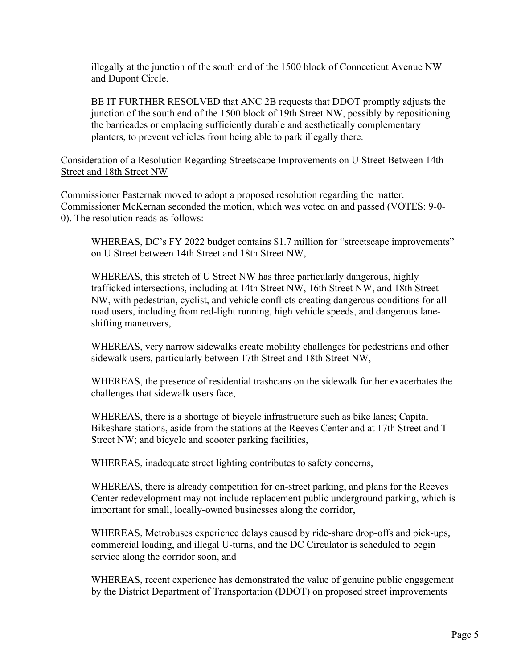illegally at the junction of the south end of the 1500 block of Connecticut Avenue NW and Dupont Circle.

BE IT FURTHER RESOLVED that ANC 2B requests that DDOT promptly adjusts the junction of the south end of the 1500 block of 19th Street NW, possibly by repositioning the barricades or emplacing sufficiently durable and aesthetically complementary planters, to prevent vehicles from being able to park illegally there.

Consideration of a Resolution Regarding Streetscape Improvements on U Street Between 14th Street and 18th Street NW

Commissioner Pasternak moved to adopt a proposed resolution regarding the matter. Commissioner McKernan seconded the motion, which was voted on and passed (VOTES: 9-0- 0). The resolution reads as follows:

WHEREAS, DC's FY 2022 budget contains \$1.7 million for "streetscape improvements" on U Street between 14th Street and 18th Street NW,

WHEREAS, this stretch of U Street NW has three particularly dangerous, highly trafficked intersections, including at 14th Street NW, 16th Street NW, and 18th Street NW, with pedestrian, cyclist, and vehicle conflicts creating dangerous conditions for all road users, including from red-light running, high vehicle speeds, and dangerous laneshifting maneuvers,

WHEREAS, very narrow sidewalks create mobility challenges for pedestrians and other sidewalk users, particularly between 17th Street and 18th Street NW,

WHEREAS, the presence of residential trashcans on the sidewalk further exacerbates the challenges that sidewalk users face,

WHEREAS, there is a shortage of bicycle infrastructure such as bike lanes; Capital Bikeshare stations, aside from the stations at the Reeves Center and at 17th Street and T Street NW; and bicycle and scooter parking facilities,

WHEREAS, inadequate street lighting contributes to safety concerns,

WHEREAS, there is already competition for on-street parking, and plans for the Reeves Center redevelopment may not include replacement public underground parking, which is important for small, locally-owned businesses along the corridor,

WHEREAS, Metrobuses experience delays caused by ride-share drop-offs and pick-ups, commercial loading, and illegal U-turns, and the DC Circulator is scheduled to begin service along the corridor soon, and

WHEREAS, recent experience has demonstrated the value of genuine public engagement by the District Department of Transportation (DDOT) on proposed street improvements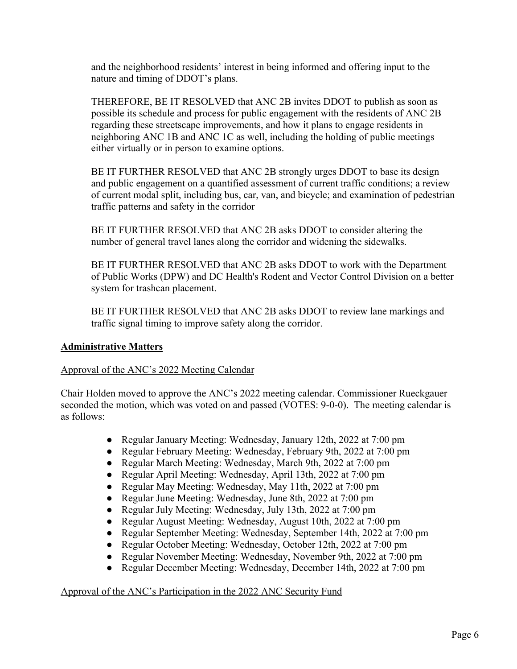and the neighborhood residents' interest in being informed and offering input to the nature and timing of DDOT's plans.

THEREFORE, BE IT RESOLVED that ANC 2B invites DDOT to publish as soon as possible its schedule and process for public engagement with the residents of ANC 2B regarding these streetscape improvements, and how it plans to engage residents in neighboring ANC 1B and ANC 1C as well, including the holding of public meetings either virtually or in person to examine options.

BE IT FURTHER RESOLVED that ANC 2B strongly urges DDOT to base its design and public engagement on a quantified assessment of current traffic conditions; a review of current modal split, including bus, car, van, and bicycle; and examination of pedestrian traffic patterns and safety in the corridor

BE IT FURTHER RESOLVED that ANC 2B asks DDOT to consider altering the number of general travel lanes along the corridor and widening the sidewalks.

BE IT FURTHER RESOLVED that ANC 2B asks DDOT to work with the Department of Public Works (DPW) and DC Health's Rodent and Vector Control Division on a better system for trashcan placement.

BE IT FURTHER RESOLVED that ANC 2B asks DDOT to review lane markings and traffic signal timing to improve safety along the corridor.

# **Administrative Matters**

#### Approval of the ANC's 2022 Meeting Calendar

Chair Holden moved to approve the ANC's 2022 meeting calendar. Commissioner Rueckgauer seconded the motion, which was voted on and passed (VOTES: 9-0-0). The meeting calendar is as follows:

- Regular January Meeting: Wednesday, January 12th, 2022 at 7:00 pm
- Regular February Meeting: Wednesday, February 9th, 2022 at 7:00 pm
- Regular March Meeting: Wednesday, March 9th, 2022 at 7:00 pm
- Regular April Meeting: Wednesday, April 13th, 2022 at 7:00 pm
- Regular May Meeting: Wednesday, May 11th, 2022 at 7:00 pm
- Regular June Meeting: Wednesday, June 8th, 2022 at 7:00 pm
- Regular July Meeting: Wednesday, July 13th, 2022 at 7:00 pm
- Regular August Meeting: Wednesday, August 10th, 2022 at 7:00 pm
- Regular September Meeting: Wednesday, September 14th, 2022 at 7:00 pm
- Regular October Meeting: Wednesday, October 12th, 2022 at 7:00 pm
- Regular November Meeting: Wednesday, November 9th, 2022 at 7:00 pm
- Regular December Meeting: Wednesday, December 14th, 2022 at 7:00 pm

#### Approval of the ANC's Participation in the 2022 ANC Security Fund